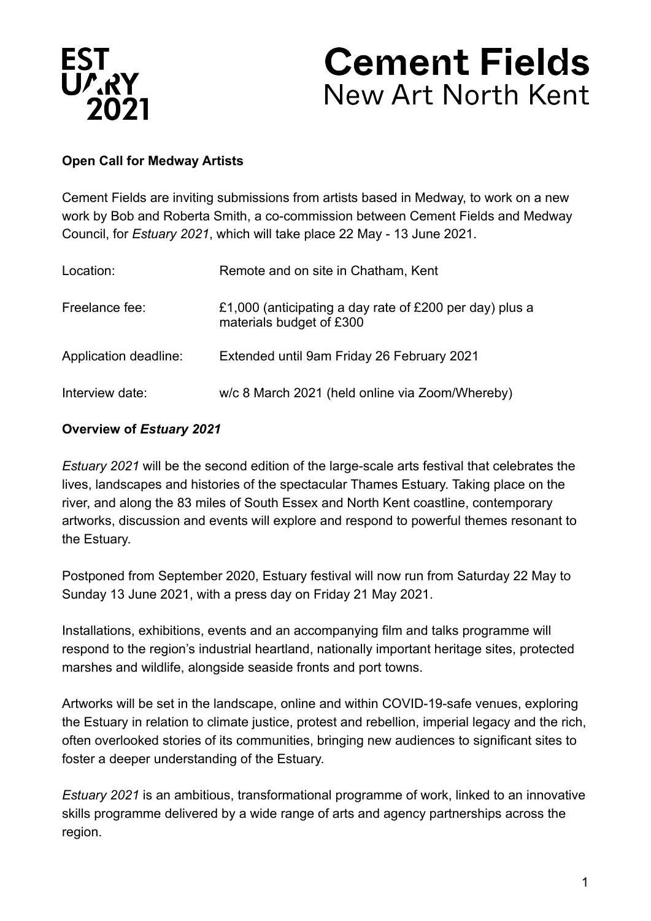

# **Cement Fields** New Art North Kent

#### **Open Call for Medway Artists**

Cement Fields are inviting submissions from artists based in Medway, to work on a new work by Bob and Roberta Smith, a co-commission between Cement Fields and Medway Council, for *Estuary 2021*, which will take place 22 May - 13 June 2021.

| Location:             | Remote and on site in Chatham, Kent                                                 |
|-----------------------|-------------------------------------------------------------------------------------|
| Freelance fee:        | £1,000 (anticipating a day rate of £200 per day) plus a<br>materials budget of £300 |
| Application deadline: | Extended until 9am Friday 26 February 2021                                          |
| Interview date:       | w/c 8 March 2021 (held online via Zoom/Whereby)                                     |

#### **Overview of** *Estuary 2021*

*Estuary 2021* will be the second edition of the large-scale arts festival that celebrates the lives, landscapes and histories of the spectacular Thames Estuary. Taking place on the river, and along the 83 miles of South Essex and North Kent coastline, contemporary artworks, discussion and events will explore and respond to powerful themes resonant to the Estuary.

Postponed from September 2020, Estuary festival will now run from Saturday 22 May to Sunday 13 June 2021, with a press day on Friday 21 May 2021.

Installations, exhibitions, events and an accompanying film and talks programme will respond to the region's industrial heartland, nationally important heritage sites, protected marshes and wildlife, alongside seaside fronts and port towns.

Artworks will be set in the landscape, online and within COVID-19-safe venues, exploring the Estuary in relation to climate justice, protest and rebellion, imperial legacy and the rich, often overlooked stories of its communities, bringing new audiences to significant sites to foster a deeper understanding of the Estuary.

*Estuary 2021* is an ambitious, transformational programme of work, linked to an innovative skills programme delivered by a wide range of arts and agency partnerships across the region.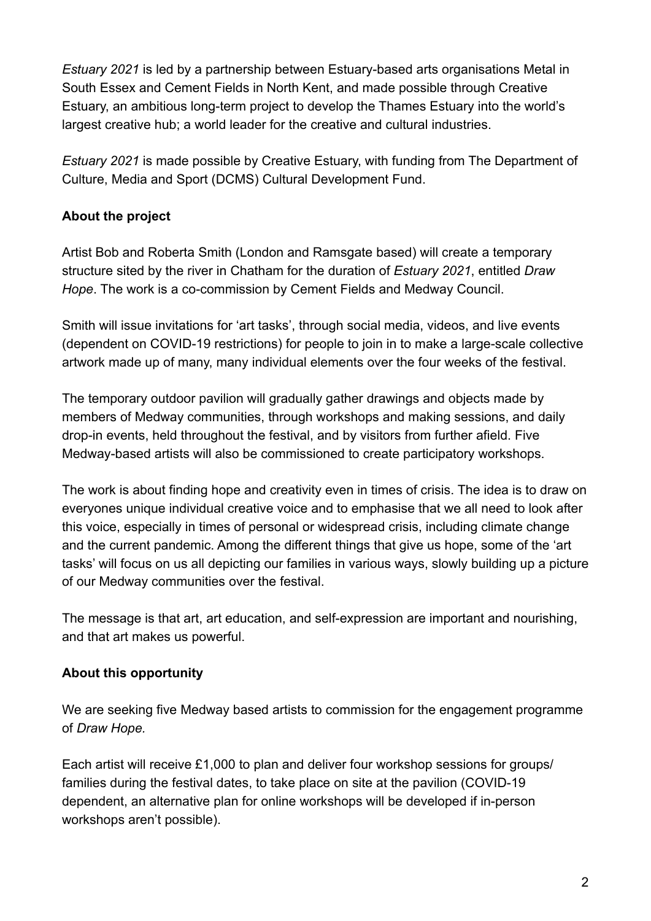*Estuary 2021* is led by a partnership between Estuary-based arts organisations Metal in South Essex and Cement Fields in North Kent, and made possible through Creative Estuary, an ambitious long-term project to develop the Thames Estuary into the world's largest creative hub; a world leader for the creative and cultural industries.

*Estuary 2021* is made possible by Creative Estuary, with funding from The Department of Culture, Media and Sport (DCMS) Cultural Development Fund.

## **About the project**

Artis[t Bob and Roberta Smith](http://bobandrobertasmith.co.uk/) (London and Ramsgate based) will create a temporary structure sited by the river in Chatham for the duration of *Estuary 2021*, entitled *Draw Hope*. The work is a co-commission by Cement Fields and Medway Council.

Smith will issue invitations for 'art tasks', through social media, videos, and live events (dependent on COVID-19 restrictions) for people to join in to make a large-scale collective artwork made up of many, many individual elements over the four weeks of the festival.

The temporary outdoor pavilion will gradually gather drawings and objects made by members of Medway communities, through workshops and making sessions, and daily drop-in events, held throughout the festival, and by visitors from further afield. Five Medway-based artists will also be commissioned to create participatory workshops.

The work is about finding hope and creativity even in times of crisis. The idea is to draw on everyones unique individual creative voice and to emphasise that we all need to look after this voice, especially in times of personal or widespread crisis, including climate change and the current pandemic. Among the different things that give us hope, some of the 'art tasks' will focus on us all depicting our families in various ways, slowly building up a picture of our Medway communities over the festival.

The message is that art, art education, and self-expression are important and nourishing, and that art makes us powerful.

#### **About this opportunity**

We are seeking five Medway based artists to commission for the engagement programme of *Draw Hope.*

Each artist will receive £1,000 to plan and deliver four workshop sessions for groups/ families during the festival dates, to take place on site at the pavilion (COVID-19 dependent, an alternative plan for online workshops will be developed if in-person workshops aren't possible).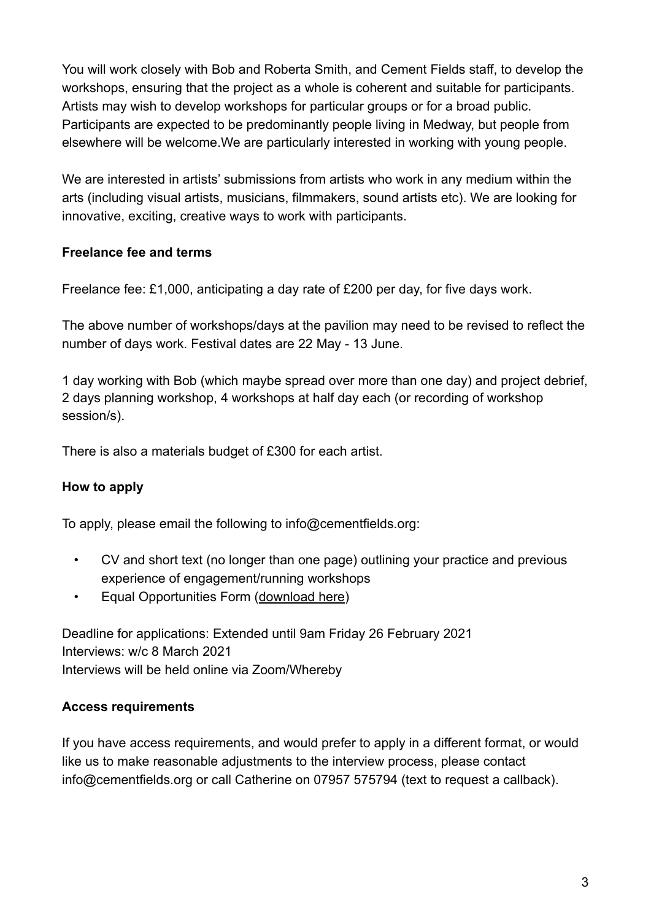You will work closely with Bob and Roberta Smith, and Cement Fields staff, to develop the workshops, ensuring that the project as a whole is coherent and suitable for participants. Artists may wish to develop workshops for particular groups or for a broad public. Participants are expected to be predominantly people living in Medway, but people from elsewhere will be welcome.We are particularly interested in working with young people.

We are interested in artists' submissions from artists who work in any medium within the arts (including visual artists, musicians, filmmakers, sound artists etc). We are looking for innovative, exciting, creative ways to work with participants.

#### **Freelance fee and terms**

Freelance fee: £1,000, anticipating a day rate of £200 per day, for five days work.

The above number of workshops/days at the pavilion may need to be revised to reflect the number of days work. Festival dates are 22 May - 13 June.

1 day working with Bob (which maybe spread over more than one day) and project debrief, 2 days planning workshop, 4 workshops at half day each (or recording of workshop session/s).

There is also a materials budget of £300 for each artist.

#### **How to apply**

To apply, please email the following to [info@cementfields.org:](mailto:info@cementfields.org)

- CV and short text (no longer than one page) outlining your practice and previous experience of engagement/running workshops
- Equal Opportunities Form ([download here](https://cementfields.org/wp-content/uploads/2021/01/Cement-Fields-Estuary-2021-Equal-Opps-Monitoring-Form.docx))

Deadline for applications: Extended until 9am Friday 26 February 2021 Interviews: w/c 8 March 2021 Interviews will be held online via Zoom/Whereby

#### **Access requirements**

If you have access requirements, and would prefer to apply in a different format, or would like us to make reasonable adjustments to the interview process, please contact [info@cementfields.org](mailto:info@cementfields.org) or call Catherine on 07957 575794 (text to request a callback).